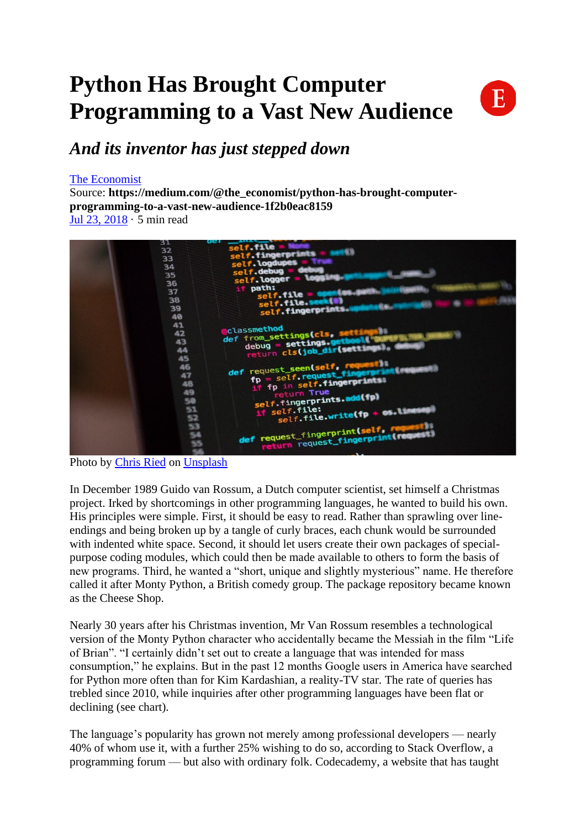## **Python Has Brought Computer Programming to a Vast New Audience**



### *And its inventor has just stepped down*

#### [The Economist](https://medium.com/@the_economist?source=post_page-----1f2b0eac8159--------------------------------)

Source: **https://medium.com/@the\_economist/python-has-brought-computerprogramming-to-a-vast-new-audience-1f2b0eac8159** [Jul 23, 2018](https://medium.com/@the_economist/python-has-brought-computer-programming-to-a-vast-new-audience-1f2b0eac8159?source=post_page-----1f2b0eac8159--------------------------------) · 5 min read



Photo by [Chris Ried](https://unsplash.com/@cdr6934?utm_source=medium&utm_medium=referral) on [Unsplash](https://unsplash.com/?utm_source=medium&utm_medium=referral)

In December 1989 Guido van Rossum, a Dutch computer scientist, set himself a Christmas project. Irked by shortcomings in other programming languages, he wanted to build his own. His principles were simple. First, it should be easy to read. Rather than sprawling over lineendings and being broken up by a tangle of curly braces, each chunk would be surrounded with indented white space. Second, it should let users create their own packages of specialpurpose coding modules, which could then be made available to others to form the basis of new programs. Third, he wanted a "short, unique and slightly mysterious" name. He therefore called it after Monty Python, a British comedy group. The package repository became known as the Cheese Shop.

Nearly 30 years after his Christmas invention, Mr Van Rossum resembles a technological version of the Monty Python character who accidentally became the Messiah in the film "Life of Brian". "I certainly didn't set out to create a language that was intended for mass consumption," he explains. But in the past 12 months Google users in America have searched for Python more often than for Kim Kardashian, a reality-TV star. The rate of queries has trebled since 2010, while inquiries after other programming languages have been flat or declining (see chart).

The language's popularity has grown not merely among professional developers — nearly 40% of whom use it, with a further 25% wishing to do so, according to Stack Overflow, a programming forum — but also with ordinary folk. Codecademy, a website that has taught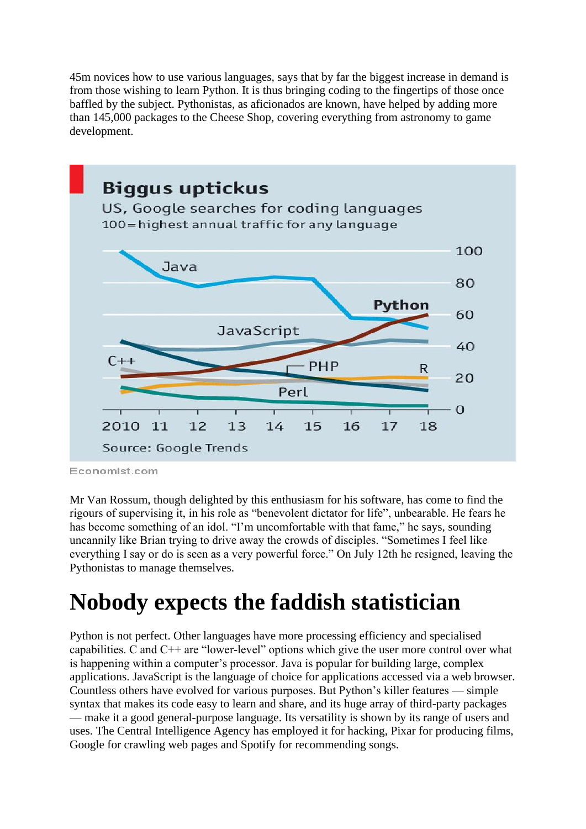45m novices how to use various languages, says that by far the biggest increase in demand is from those wishing to learn Python. It is thus bringing coding to the fingertips of those once baffled by the subject. Pythonistas, as aficionados are known, have helped by adding more than 145,000 packages to the Cheese Shop, covering everything from astronomy to game development.



Economist.com

Mr Van Rossum, though delighted by this enthusiasm for his software, has come to find the rigours of supervising it, in his role as "benevolent dictator for life", unbearable. He fears he has become something of an idol. "I'm uncomfortable with that fame," he says, sounding uncannily like Brian trying to drive away the crowds of disciples. "Sometimes I feel like everything I say or do is seen as a very powerful force." On July 12th he resigned, leaving the Pythonistas to manage themselves.

## **Nobody expects the faddish statistician**

Python is not perfect. Other languages have more processing efficiency and specialised capabilities. C and C++ are "lower-level" options which give the user more control over what is happening within a computer's processor. Java is popular for building large, complex applications. JavaScript is the language of choice for applications accessed via a web browser. Countless others have evolved for various purposes. But Python's killer features — simple syntax that makes its code easy to learn and share, and its huge array of third-party packages — make it a good general-purpose language. Its versatility is shown by its range of users and uses. The Central Intelligence Agency has employed it for hacking, Pixar for producing films, Google for crawling web pages and Spotify for recommending songs.